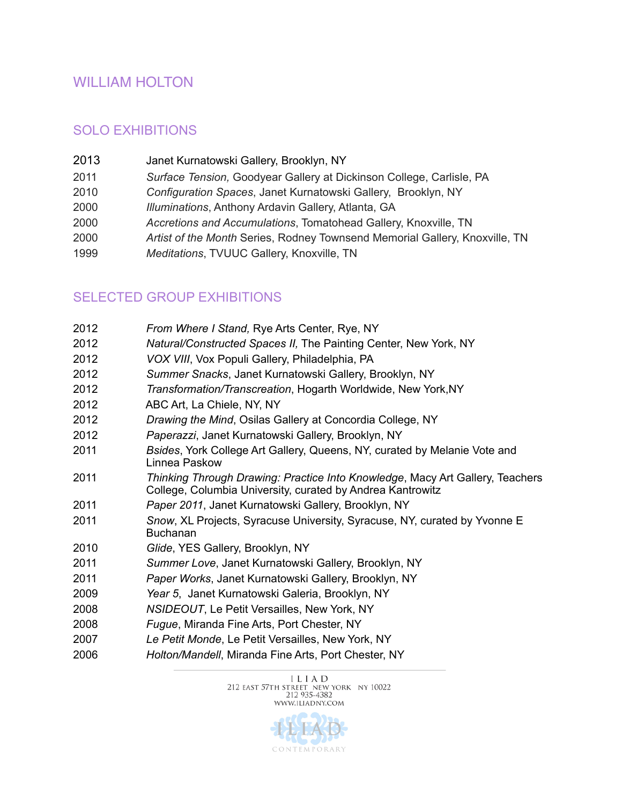## WILLIAM HOLTON

#### SOLO EXHIBITIONS

- 2013 Janet Kurnatowski Gallery, Brooklyn, NY
- *Surface Tension,* Goodyear Gallery at Dickinson College, Carlisle, PA
- *Configuration Spaces*, Janet Kurnatowski Gallery, Brooklyn, NY
- *Illuminations*, Anthony Ardavin Gallery, Atlanta, GA
- *Accretions and Accumulations*, Tomatohead Gallery, Knoxville, TN
- *Artist of the Month* Series, Rodney Townsend Memorial Gallery, Knoxville, TN
- *Meditations*, TVUUC Gallery, Knoxville, TN

### SELECTED GROUP EXHIBITIONS

| 2012 | From Where I Stand, Rye Arts Center, Rye, NY                                                                                                |
|------|---------------------------------------------------------------------------------------------------------------------------------------------|
| 2012 | Natural/Constructed Spaces II, The Painting Center, New York, NY                                                                            |
| 2012 | VOX VIII, Vox Populi Gallery, Philadelphia, PA                                                                                              |
| 2012 | Summer Snacks, Janet Kurnatowski Gallery, Brooklyn, NY                                                                                      |
| 2012 | Transformation/Transcreation, Hogarth Worldwide, New York, NY                                                                               |
| 2012 | ABC Art, La Chiele, NY, NY                                                                                                                  |
| 2012 | Drawing the Mind, Osilas Gallery at Concordia College, NY                                                                                   |
| 2012 | Paperazzi, Janet Kurnatowski Gallery, Brooklyn, NY                                                                                          |
| 2011 | Bsides, York College Art Gallery, Queens, NY, curated by Melanie Vote and<br>Linnea Paskow                                                  |
| 2011 | Thinking Through Drawing: Practice Into Knowledge, Macy Art Gallery, Teachers<br>College, Columbia University, curated by Andrea Kantrowitz |
| 2011 | Paper 2011, Janet Kurnatowski Gallery, Brooklyn, NY                                                                                         |
| 2011 | Snow, XL Projects, Syracuse University, Syracuse, NY, curated by Yvonne E<br><b>Buchanan</b>                                                |
| 2010 | Glide, YES Gallery, Brooklyn, NY                                                                                                            |
| 2011 | Summer Love, Janet Kurnatowski Gallery, Brooklyn, NY                                                                                        |
| 2011 | Paper Works, Janet Kurnatowski Gallery, Brooklyn, NY                                                                                        |
| 2009 | Year 5, Janet Kurnatowski Galeria, Brooklyn, NY                                                                                             |
| 2008 | NSIDEOUT, Le Petit Versailles, New York, NY                                                                                                 |
| 2008 | Fugue, Miranda Fine Arts, Port Chester, NY                                                                                                  |
| 2007 | Le Petit Monde, Le Petit Versailles, New York, NY                                                                                           |
| 2006 | Holton/Mandell, Miranda Fine Arts, Port Chester, NY                                                                                         |

 $\begin{array}{c} \text{I L I A D} \\ \text{212 EAST 57TH STREF NEW YORK} \\ \text{212 935-4382} \end{array}$ WWW.ILIADNY.COM

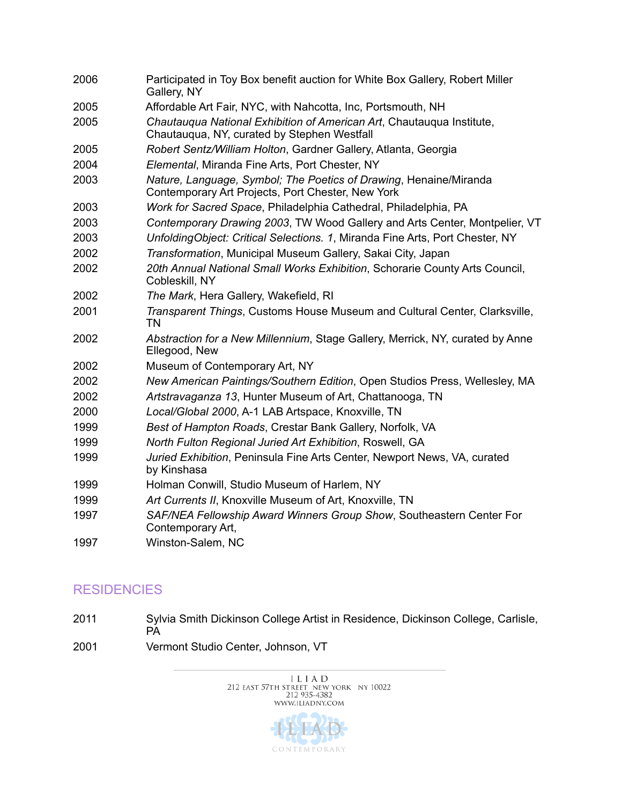| 2006 | Participated in Toy Box benefit auction for White Box Gallery, Robert Miller<br>Gallery, NY                            |
|------|------------------------------------------------------------------------------------------------------------------------|
| 2005 | Affordable Art Fair, NYC, with Nahcotta, Inc, Portsmouth, NH                                                           |
| 2005 | Chautaugua National Exhibition of American Art, Chautaugua Institute,<br>Chautauqua, NY, curated by Stephen Westfall   |
| 2005 | Robert Sentz/William Holton, Gardner Gallery, Atlanta, Georgia                                                         |
| 2004 | Elemental, Miranda Fine Arts, Port Chester, NY                                                                         |
| 2003 | Nature, Language, Symbol; The Poetics of Drawing, Henaine/Miranda<br>Contemporary Art Projects, Port Chester, New York |
| 2003 | Work for Sacred Space, Philadelphia Cathedral, Philadelphia, PA                                                        |
| 2003 | Contemporary Drawing 2003, TW Wood Gallery and Arts Center, Montpelier, VT                                             |
| 2003 | UnfoldingObject: Critical Selections. 1, Miranda Fine Arts, Port Chester, NY                                           |
| 2002 | Transformation, Municipal Museum Gallery, Sakai City, Japan                                                            |
| 2002 | 20th Annual National Small Works Exhibition, Schorarie County Arts Council,<br>Cobleskill, NY                          |
| 2002 | The Mark, Hera Gallery, Wakefield, RI                                                                                  |
| 2001 | Transparent Things, Customs House Museum and Cultural Center, Clarksville,<br><b>TN</b>                                |
| 2002 | Abstraction for a New Millennium, Stage Gallery, Merrick, NY, curated by Anne<br>Ellegood, New                         |
| 2002 | Museum of Contemporary Art, NY                                                                                         |
| 2002 | New American Paintings/Southern Edition, Open Studios Press, Wellesley, MA                                             |
| 2002 | Artstravaganza 13, Hunter Museum of Art, Chattanooga, TN                                                               |
| 2000 | Local/Global 2000, A-1 LAB Artspace, Knoxville, TN                                                                     |
| 1999 | Best of Hampton Roads, Crestar Bank Gallery, Norfolk, VA                                                               |
| 1999 | North Fulton Regional Juried Art Exhibition, Roswell, GA                                                               |
| 1999 | Juried Exhibition, Peninsula Fine Arts Center, Newport News, VA, curated<br>by Kinshasa                                |
| 1999 | Holman Conwill, Studio Museum of Harlem, NY                                                                            |
| 1999 | Art Currents II, Knoxville Museum of Art, Knoxville, TN                                                                |
| 1997 | SAF/NEA Fellowship Award Winners Group Show, Southeastern Center For<br>Contemporary Art,                              |
| 1997 | Winston-Salem, NC                                                                                                      |

# **RESIDENCIES**

- 2011 Sylvia Smith Dickinson College Artist in Residence, Dickinson College, Carlisle, **PA**
- 2001 Vermont Studio Center, Johnson, VT

 $\begin{array}{c} \text{I L I A D} \\ \text{212 EAST 57TH STREET NEW YORK NY 10022} \\ \text{212 935-4382} \end{array}$ WWW.ILIADNY.COM

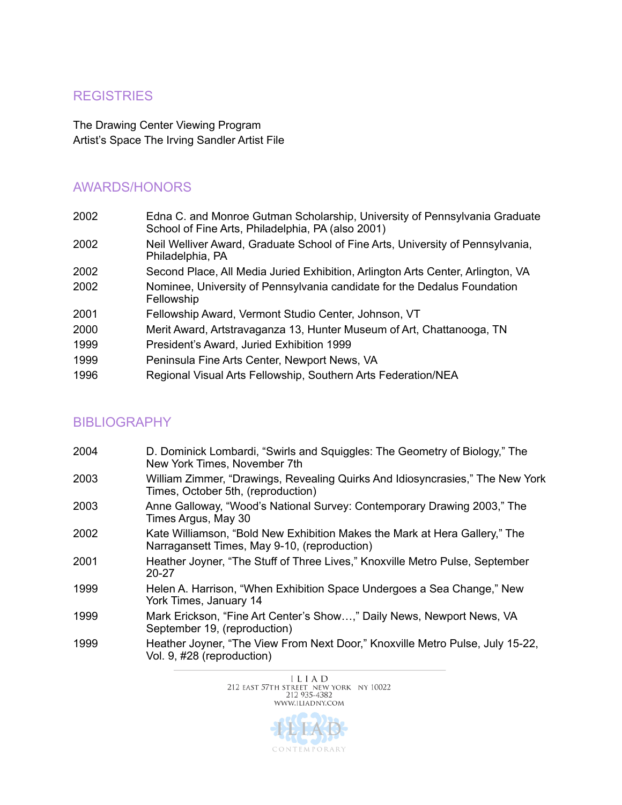### **REGISTRIES**

The Drawing Center Viewing Program Artist's Space The Irving Sandler Artist File

#### AWARDS/HONORS

| 2002 | Edna C. and Monroe Gutman Scholarship, University of Pennsylvania Graduate<br>School of Fine Arts, Philadelphia, PA (also 2001) |
|------|---------------------------------------------------------------------------------------------------------------------------------|
| 2002 | Neil Welliver Award, Graduate School of Fine Arts, University of Pennsylvania,<br>Philadelphia, PA                              |
| 2002 | Second Place, All Media Juried Exhibition, Arlington Arts Center, Arlington, VA                                                 |
| 2002 | Nominee, University of Pennsylvania candidate for the Dedalus Foundation<br>Fellowship                                          |
| 2001 | Fellowship Award, Vermont Studio Center, Johnson, VT                                                                            |
| 2000 | Merit Award, Artstravaganza 13, Hunter Museum of Art, Chattanooga, TN                                                           |
| 1999 | President's Award, Juried Exhibition 1999                                                                                       |
| 1999 | Peninsula Fine Arts Center, Newport News, VA                                                                                    |
| 1996 | Regional Visual Arts Fellowship, Southern Arts Federation/NEA                                                                   |

### BIBLIOGRAPHY

| 2004 | D. Dominick Lombardi, "Swirls and Squiggles: The Geometry of Biology," The<br>New York Times, November 7th                 |
|------|----------------------------------------------------------------------------------------------------------------------------|
| 2003 | William Zimmer, "Drawings, Revealing Quirks And Idiosyncrasies," The New York<br>Times, October 5th, (reproduction)        |
| 2003 | Anne Galloway, "Wood's National Survey: Contemporary Drawing 2003," The<br>Times Argus, May 30                             |
| 2002 | Kate Williamson, "Bold New Exhibition Makes the Mark at Hera Gallery," The<br>Narragansett Times, May 9-10, (reproduction) |
| 2001 | Heather Joyner, "The Stuff of Three Lives," Knoxville Metro Pulse, September<br>20-27                                      |
| 1999 | Helen A. Harrison, "When Exhibition Space Undergoes a Sea Change," New<br>York Times, January 14                           |
| 1999 | Mark Erickson, "Fine Art Center's Show," Daily News, Newport News, VA<br>September 19, (reproduction)                      |
| 1999 | Heather Joyner, "The View From Next Door," Knoxville Metro Pulse, July 15-22,<br>Vol. 9, #28 (reproduction)                |



CONTEMPORARY